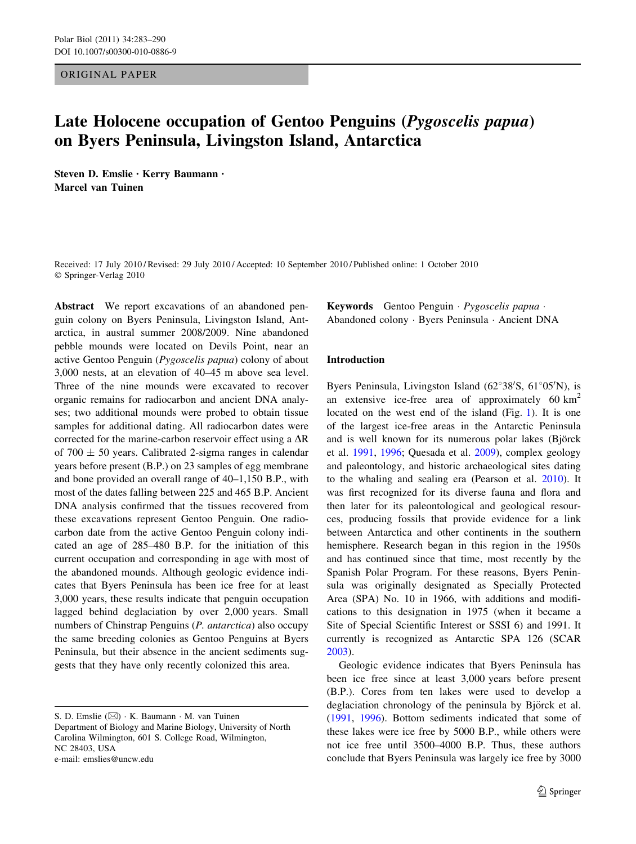ORIGINAL PAPER

# Late Holocene occupation of Gentoo Penguins (Pygoscelis papua) on Byers Peninsula, Livingston Island, Antarctica

Steven D. Emslie • Kerry Baumann • Marcel van Tuinen

Received: 17 July 2010 / Revised: 29 July 2010 / Accepted: 10 September 2010 / Published online: 1 October 2010 © Springer-Verlag 2010

Abstract We report excavations of an abandoned penguin colony on Byers Peninsula, Livingston Island, Antarctica, in austral summer 2008/2009. Nine abandoned pebble mounds were located on Devils Point, near an active Gentoo Penguin (Pygoscelis papua) colony of about 3,000 nests, at an elevation of 40–45 m above sea level. Three of the nine mounds were excavated to recover organic remains for radiocarbon and ancient DNA analyses; two additional mounds were probed to obtain tissue samples for additional dating. All radiocarbon dates were corrected for the marine-carbon reservoir effect using a  $\Delta R$ of 700  $\pm$  50 years. Calibrated 2-sigma ranges in calendar years before present (B.P.) on 23 samples of egg membrane and bone provided an overall range of 40–1,150 B.P., with most of the dates falling between 225 and 465 B.P. Ancient DNA analysis confirmed that the tissues recovered from these excavations represent Gentoo Penguin. One radiocarbon date from the active Gentoo Penguin colony indicated an age of 285–480 B.P. for the initiation of this current occupation and corresponding in age with most of the abandoned mounds. Although geologic evidence indicates that Byers Peninsula has been ice free for at least 3,000 years, these results indicate that penguin occupation lagged behind deglaciation by over 2,000 years. Small numbers of Chinstrap Penguins (P. antarctica) also occupy the same breeding colonies as Gentoo Penguins at Byers Peninsula, but their absence in the ancient sediments suggests that they have only recently colonized this area.

Keywords Gentoo Penguin · Pygoscelis papua · Abandoned colony - Byers Peninsula - Ancient DNA

## Introduction

Byers Peninsula, Livingston Island (62°38'S, 61°05'N), is an extensive ice-free area of approximately  $60 \text{ km}^2$ located on the west end of the island (Fig. [1\)](#page-1-0). It is one of the largest ice-free areas in the Antarctic Peninsula and is well known for its numerous polar lakes (Björck et al. [1991](#page-6-0), [1996](#page-6-0); Quesada et al. [2009\)](#page-6-0), complex geology and paleontology, and historic archaeological sites dating to the whaling and sealing era (Pearson et al. [2010\)](#page-6-0). It was first recognized for its diverse fauna and flora and then later for its paleontological and geological resources, producing fossils that provide evidence for a link between Antarctica and other continents in the southern hemisphere. Research began in this region in the 1950s and has continued since that time, most recently by the Spanish Polar Program. For these reasons, Byers Peninsula was originally designated as Specially Protected Area (SPA) No. 10 in 1966, with additions and modifications to this designation in 1975 (when it became a Site of Special Scientific Interest or SSSI 6) and 1991. It currently is recognized as Antarctic SPA 126 (SCAR [2003](#page-6-0)).

Geologic evidence indicates that Byers Peninsula has been ice free since at least 3,000 years before present (B.P.). Cores from ten lakes were used to develop a deglaciation chronology of the peninsula by Björck et al. [\(1991](#page-6-0), [1996\)](#page-6-0). Bottom sediments indicated that some of these lakes were ice free by 5000 B.P., while others were not ice free until 3500–4000 B.P. Thus, these authors conclude that Byers Peninsula was largely ice free by 3000

S. D. Emslie  $(\boxtimes) \cdot K$ . Baumann  $\cdot M$ . van Tuinen Department of Biology and Marine Biology, University of North Carolina Wilmington, 601 S. College Road, Wilmington, NC 28403, USA e-mail: emslies@uncw.edu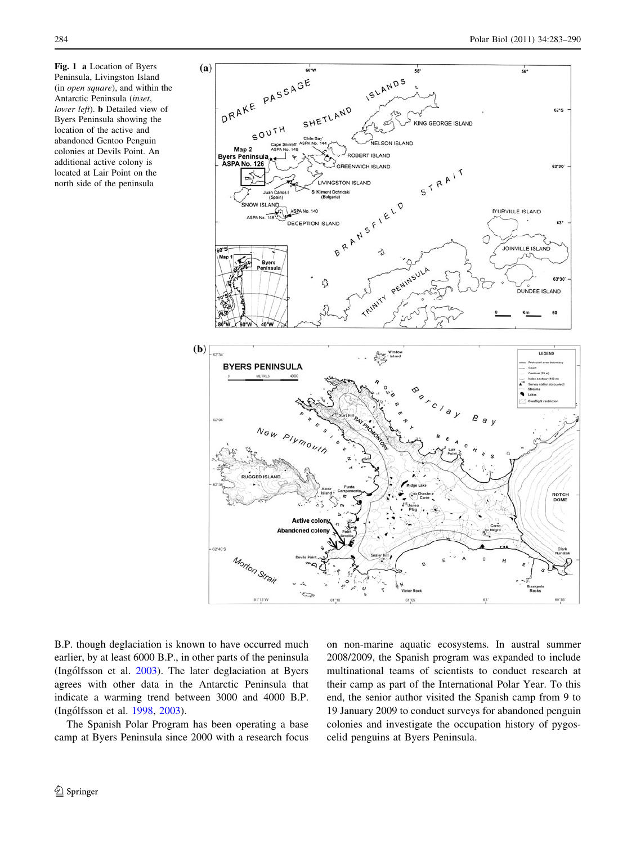<span id="page-1-0"></span>Fig. 1 a Location of Byers Peninsula, Livingston Island (in open square), and within the Antarctic Peninsula (inset, lower left). **b** Detailed view of Byers Peninsula showing the location of the active and abandoned Gentoo Penguin colonies at Devils Point. An additional active colony is located at Lair Point on the north side of the peninsula



B.P. though deglaciation is known to have occurred much earlier, by at least 6000 B.P., in other parts of the peninsula (Ingólfsson et al. [2003](#page-6-0)). The later deglaciation at Byers agrees with other data in the Antarctic Peninsula that indicate a warming trend between 3000 and 4000 B.P. (Ingólfsson et al. [1998](#page-6-0), [2003](#page-6-0)).

The Spanish Polar Program has been operating a base camp at Byers Peninsula since 2000 with a research focus on non-marine aquatic ecosystems. In austral summer 2008/2009, the Spanish program was expanded to include multinational teams of scientists to conduct research at their camp as part of the International Polar Year. To this end, the senior author visited the Spanish camp from 9 to 19 January 2009 to conduct surveys for abandoned penguin colonies and investigate the occupation history of pygoscelid penguins at Byers Peninsula.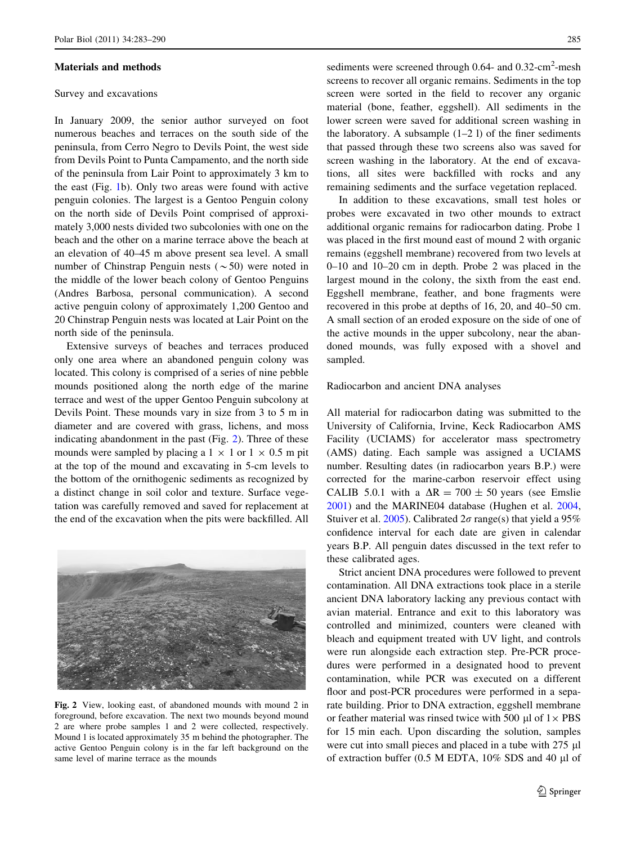#### Materials and methods

### Survey and excavations

In January 2009, the senior author surveyed on foot numerous beaches and terraces on the south side of the peninsula, from Cerro Negro to Devils Point, the west side from Devils Point to Punta Campamento, and the north side of the peninsula from Lair Point to approximately 3 km to the east (Fig. [1](#page-1-0)b). Only two areas were found with active penguin colonies. The largest is a Gentoo Penguin colony on the north side of Devils Point comprised of approximately 3,000 nests divided two subcolonies with one on the beach and the other on a marine terrace above the beach at an elevation of 40–45 m above present sea level. A small number of Chinstrap Penguin nests ( $\sim$  50) were noted in the middle of the lower beach colony of Gentoo Penguins (Andres Barbosa, personal communication). A second active penguin colony of approximately 1,200 Gentoo and 20 Chinstrap Penguin nests was located at Lair Point on the north side of the peninsula.

Extensive surveys of beaches and terraces produced only one area where an abandoned penguin colony was located. This colony is comprised of a series of nine pebble mounds positioned along the north edge of the marine terrace and west of the upper Gentoo Penguin subcolony at Devils Point. These mounds vary in size from 3 to 5 m in diameter and are covered with grass, lichens, and moss indicating abandonment in the past (Fig. 2). Three of these mounds were sampled by placing a  $1 \times 1$  or  $1 \times 0.5$  m pit at the top of the mound and excavating in 5-cm levels to the bottom of the ornithogenic sediments as recognized by a distinct change in soil color and texture. Surface vegetation was carefully removed and saved for replacement at the end of the excavation when the pits were backfilled. All



Fig. 2 View, looking east, of abandoned mounds with mound 2 in foreground, before excavation. The next two mounds beyond mound 2 are where probe samples 1 and 2 were collected, respectively. Mound 1 is located approximately 35 m behind the photographer. The active Gentoo Penguin colony is in the far left background on the same level of marine terrace as the mounds

sediments were screened through 0.64- and 0.32-cm<sup>2</sup>-mesh screens to recover all organic remains. Sediments in the top screen were sorted in the field to recover any organic material (bone, feather, eggshell). All sediments in the lower screen were saved for additional screen washing in the laboratory. A subsample  $(1-2)$  is of the finer sediments that passed through these two screens also was saved for screen washing in the laboratory. At the end of excavations, all sites were backfilled with rocks and any remaining sediments and the surface vegetation replaced.

In addition to these excavations, small test holes or probes were excavated in two other mounds to extract additional organic remains for radiocarbon dating. Probe 1 was placed in the first mound east of mound 2 with organic remains (eggshell membrane) recovered from two levels at 0–10 and 10–20 cm in depth. Probe 2 was placed in the largest mound in the colony, the sixth from the east end. Eggshell membrane, feather, and bone fragments were recovered in this probe at depths of 16, 20, and 40–50 cm. A small section of an eroded exposure on the side of one of the active mounds in the upper subcolony, near the abandoned mounds, was fully exposed with a shovel and sampled.

#### Radiocarbon and ancient DNA analyses

All material for radiocarbon dating was submitted to the University of California, Irvine, Keck Radiocarbon AMS Facility (UCIAMS) for accelerator mass spectrometry (AMS) dating. Each sample was assigned a UCIAMS number. Resulting dates (in radiocarbon years B.P.) were corrected for the marine-carbon reservoir effect using CALIB 5.0.1 with a  $\Delta R = 700 \pm 50$  years (see Emslie [2001](#page-6-0)) and the MARINE04 database (Hughen et al. [2004,](#page-6-0) Stuiver et al. [2005](#page-6-0)). Calibrated  $2\sigma$  range(s) that yield a 95% confidence interval for each date are given in calendar years B.P. All penguin dates discussed in the text refer to these calibrated ages.

Strict ancient DNA procedures were followed to prevent contamination. All DNA extractions took place in a sterile ancient DNA laboratory lacking any previous contact with avian material. Entrance and exit to this laboratory was controlled and minimized, counters were cleaned with bleach and equipment treated with UV light, and controls were run alongside each extraction step. Pre-PCR procedures were performed in a designated hood to prevent contamination, while PCR was executed on a different floor and post-PCR procedures were performed in a separate building. Prior to DNA extraction, eggshell membrane or feather material was rinsed twice with 500  $\mu$ l of 1 $\times$  PBS for 15 min each. Upon discarding the solution, samples were cut into small pieces and placed in a tube with  $275 \mu l$ of extraction buffer  $(0.5 \text{ M}$  EDTA,  $10\%$  SDS and  $40 \mu$ l of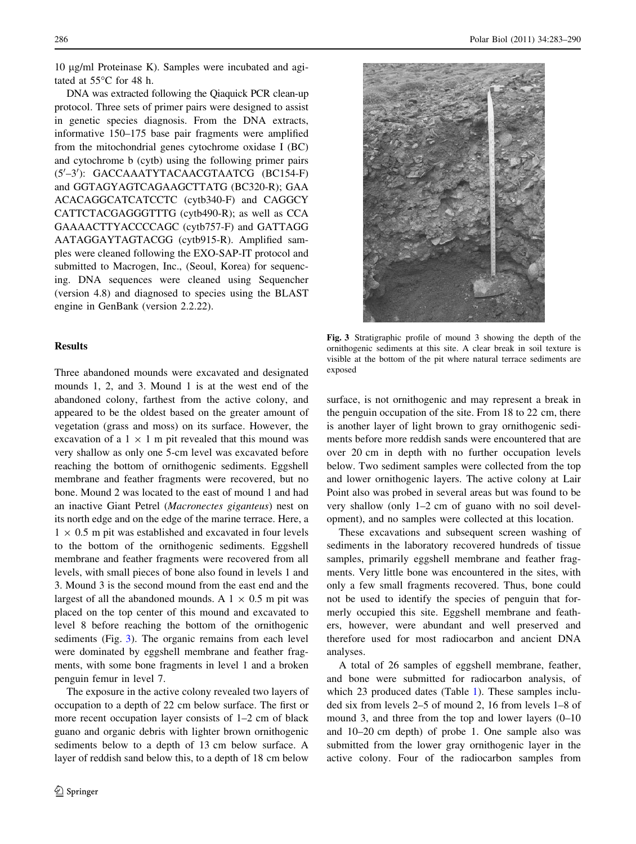10 ug/ml Proteinase K). Samples were incubated and agitated at  $55^{\circ}$ C for 48 h.

DNA was extracted following the Qiaquick PCR clean-up protocol. Three sets of primer pairs were designed to assist in genetic species diagnosis. From the DNA extracts, informative 150–175 base pair fragments were amplified from the mitochondrial genes cytochrome oxidase I (BC) and cytochrome b (cytb) using the following primer pairs (5'-3'): GACCAAATYTACAACGTAATCG (BC154-F) and GGTAGYAGTCAGAAGCTTATG (BC320-R); GAA ACACAGGCATCATCCTC (cytb340-F) and CAGGCY CATTCTACGAGGGTTTG (cytb490-R); as well as CCA GAAAACTTYACCCCAGC (cytb757-F) and GATTAGG AATAGGAYTAGTACGG (cytb915-R). Amplified samples were cleaned following the EXO-SAP-IT protocol and submitted to Macrogen, Inc., (Seoul, Korea) for sequencing. DNA sequences were cleaned using Sequencher (version 4.8) and diagnosed to species using the BLAST engine in GenBank (version 2.2.22).

## **Results**

Three abandoned mounds were excavated and designated mounds 1, 2, and 3. Mound 1 is at the west end of the abandoned colony, farthest from the active colony, and appeared to be the oldest based on the greater amount of vegetation (grass and moss) on its surface. However, the excavation of a  $1 \times 1$  m pit revealed that this mound was very shallow as only one 5-cm level was excavated before reaching the bottom of ornithogenic sediments. Eggshell membrane and feather fragments were recovered, but no bone. Mound 2 was located to the east of mound 1 and had an inactive Giant Petrel (Macronectes giganteus) nest on its north edge and on the edge of the marine terrace. Here, a  $1 \times 0.5$  m pit was established and excavated in four levels to the bottom of the ornithogenic sediments. Eggshell membrane and feather fragments were recovered from all levels, with small pieces of bone also found in levels 1 and 3. Mound 3 is the second mound from the east end and the largest of all the abandoned mounds. A  $1 \times 0.5$  m pit was placed on the top center of this mound and excavated to level 8 before reaching the bottom of the ornithogenic sediments (Fig. 3). The organic remains from each level were dominated by eggshell membrane and feather fragments, with some bone fragments in level 1 and a broken penguin femur in level 7.

The exposure in the active colony revealed two layers of occupation to a depth of 22 cm below surface. The first or more recent occupation layer consists of 1–2 cm of black guano and organic debris with lighter brown ornithogenic sediments below to a depth of 13 cm below surface. A layer of reddish sand below this, to a depth of 18 cm below



Fig. 3 Stratigraphic profile of mound 3 showing the depth of the ornithogenic sediments at this site. A clear break in soil texture is visible at the bottom of the pit where natural terrace sediments are exposed

surface, is not ornithogenic and may represent a break in the penguin occupation of the site. From 18 to 22 cm, there is another layer of light brown to gray ornithogenic sediments before more reddish sands were encountered that are over 20 cm in depth with no further occupation levels below. Two sediment samples were collected from the top and lower ornithogenic layers. The active colony at Lair Point also was probed in several areas but was found to be very shallow (only 1–2 cm of guano with no soil development), and no samples were collected at this location.

These excavations and subsequent screen washing of sediments in the laboratory recovered hundreds of tissue samples, primarily eggshell membrane and feather fragments. Very little bone was encountered in the sites, with only a few small fragments recovered. Thus, bone could not be used to identify the species of penguin that formerly occupied this site. Eggshell membrane and feathers, however, were abundant and well preserved and therefore used for most radiocarbon and ancient DNA analyses.

A total of 26 samples of eggshell membrane, feather, and bone were submitted for radiocarbon analysis, of which 23 produced dates (Table [1\)](#page-4-0). These samples included six from levels 2–5 of mound 2, 16 from levels 1–8 of mound 3, and three from the top and lower layers (0–10 and 10–20 cm depth) of probe 1. One sample also was submitted from the lower gray ornithogenic layer in the active colony. Four of the radiocarbon samples from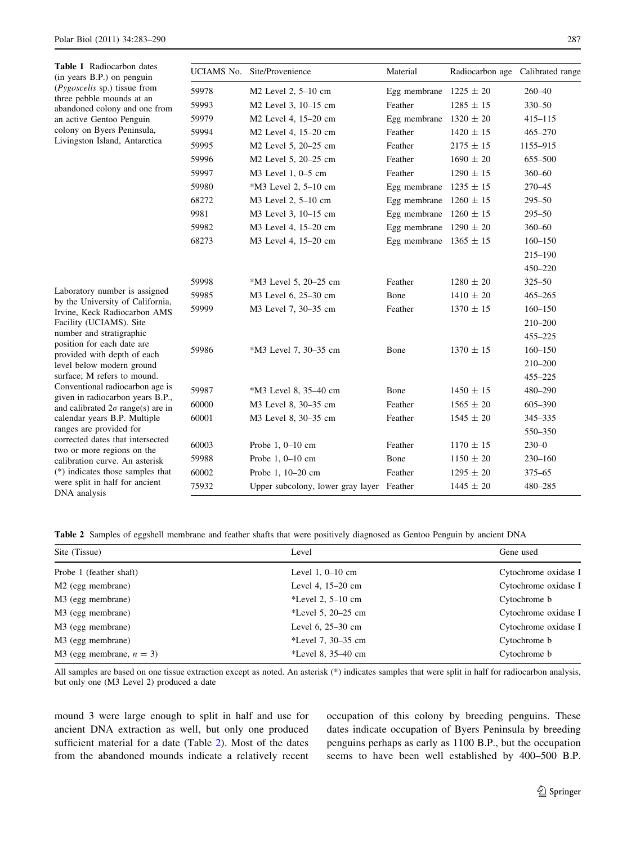<span id="page-4-0"></span>

| Table 1 Radiocarbon dates<br>(in years B.P.) on penguin<br>( <i>Pygoscelis</i> sp.) tissue from<br>three pebble mounds at an<br>abandoned colony and one from<br>an active Gentoo Penguin<br>colony on Byers Peninsula,<br>Livingston Island, Antarctica                                                                                                                                                                                                                                                                                                                                                                                                  |       | UCIAMS No. Site/Provenience               | Material                   | Radiocarbon age | Calibrated range |
|-----------------------------------------------------------------------------------------------------------------------------------------------------------------------------------------------------------------------------------------------------------------------------------------------------------------------------------------------------------------------------------------------------------------------------------------------------------------------------------------------------------------------------------------------------------------------------------------------------------------------------------------------------------|-------|-------------------------------------------|----------------------------|-----------------|------------------|
|                                                                                                                                                                                                                                                                                                                                                                                                                                                                                                                                                                                                                                                           | 59978 | M2 Level 2, 5-10 cm                       | Egg membrane $1225 \pm 20$ |                 | $260 - 40$       |
|                                                                                                                                                                                                                                                                                                                                                                                                                                                                                                                                                                                                                                                           | 59993 | M2 Level 3, 10-15 cm                      | Feather                    | $1285 \pm 15$   | 330-50           |
|                                                                                                                                                                                                                                                                                                                                                                                                                                                                                                                                                                                                                                                           | 59979 | M2 Level 4, 15-20 cm                      | Egg membrane               | $1320 \pm 20$   | $415 - 115$      |
|                                                                                                                                                                                                                                                                                                                                                                                                                                                                                                                                                                                                                                                           | 59994 | M2 Level 4, 15-20 cm                      | Feather                    | $1420 \pm 15$   | $465 - 270$      |
|                                                                                                                                                                                                                                                                                                                                                                                                                                                                                                                                                                                                                                                           | 59995 | M2 Level 5, 20-25 cm                      | Feather                    | $2175 \pm 15$   | 1155-915         |
|                                                                                                                                                                                                                                                                                                                                                                                                                                                                                                                                                                                                                                                           | 59996 | M2 Level 5, 20-25 cm                      | Feather                    | $1690 \pm 20$   | 655-500          |
|                                                                                                                                                                                                                                                                                                                                                                                                                                                                                                                                                                                                                                                           | 59997 | M3 Level 1, 0-5 cm                        | Feather                    | $1290 \pm 15$   | $360 - 60$       |
|                                                                                                                                                                                                                                                                                                                                                                                                                                                                                                                                                                                                                                                           | 59980 | *M3 Level 2, 5-10 cm                      | Egg membrane $1235 \pm 15$ |                 | 270-45           |
|                                                                                                                                                                                                                                                                                                                                                                                                                                                                                                                                                                                                                                                           | 68272 | M3 Level 2, 5-10 cm                       | Egg membrane $1260 \pm 15$ |                 | $295 - 50$       |
|                                                                                                                                                                                                                                                                                                                                                                                                                                                                                                                                                                                                                                                           | 9981  | M3 Level 3, 10–15 cm                      | Egg membrane $1260 \pm 15$ |                 | $295 - 50$       |
|                                                                                                                                                                                                                                                                                                                                                                                                                                                                                                                                                                                                                                                           | 59982 | M3 Level 4, 15-20 cm                      | Egg membrane $1290 \pm 20$ |                 | $360 - 60$       |
|                                                                                                                                                                                                                                                                                                                                                                                                                                                                                                                                                                                                                                                           | 68273 | M3 Level 4, 15-20 cm                      | Egg membrane $1365 \pm 15$ |                 | $160 - 150$      |
|                                                                                                                                                                                                                                                                                                                                                                                                                                                                                                                                                                                                                                                           |       |                                           |                            |                 | 215-190          |
|                                                                                                                                                                                                                                                                                                                                                                                                                                                                                                                                                                                                                                                           |       |                                           |                            |                 | 450-220          |
| Laboratory number is assigned<br>by the University of California,<br>Irvine, Keck Radiocarbon AMS<br>Facility (UCIAMS). Site<br>number and stratigraphic<br>position for each date are<br>provided with depth of each<br>level below modern ground<br>surface; M refers to mound.<br>Conventional radiocarbon age is<br>given in radiocarbon years B.P.,<br>and calibrated $2\sigma$ range(s) are in<br>calendar years B.P. Multiple<br>ranges are provided for<br>corrected dates that intersected<br>two or more regions on the<br>calibration curve. An asterisk<br>(*) indicates those samples that<br>were split in half for ancient<br>DNA analysis | 59998 | *M3 Level 5, 20–25 cm                     | Feather                    | $1280 \pm 20$   | $325 - 50$       |
|                                                                                                                                                                                                                                                                                                                                                                                                                                                                                                                                                                                                                                                           | 59985 | M3 Level 6, 25-30 cm                      | Bone                       | $1410 \pm 20$   | $465 - 265$      |
|                                                                                                                                                                                                                                                                                                                                                                                                                                                                                                                                                                                                                                                           | 59999 | M3 Level 7, 30-35 cm                      | Feather                    | $1370 \pm 15$   | $160 - 150$      |
|                                                                                                                                                                                                                                                                                                                                                                                                                                                                                                                                                                                                                                                           |       |                                           |                            |                 | 210-200          |
|                                                                                                                                                                                                                                                                                                                                                                                                                                                                                                                                                                                                                                                           |       |                                           |                            |                 | $455 - 225$      |
|                                                                                                                                                                                                                                                                                                                                                                                                                                                                                                                                                                                                                                                           | 59986 | *M3 Level 7, 30-35 cm                     | Bone                       | $1370 \pm 15$   | $160 - 150$      |
|                                                                                                                                                                                                                                                                                                                                                                                                                                                                                                                                                                                                                                                           |       |                                           |                            |                 | 210-200          |
|                                                                                                                                                                                                                                                                                                                                                                                                                                                                                                                                                                                                                                                           |       |                                           |                            |                 | $455 - 225$      |
|                                                                                                                                                                                                                                                                                                                                                                                                                                                                                                                                                                                                                                                           | 59987 | *M3 Level 8, 35-40 cm                     | Bone                       | $1450 \pm 15$   | 480-290          |
|                                                                                                                                                                                                                                                                                                                                                                                                                                                                                                                                                                                                                                                           | 60000 | M3 Level 8, 30-35 cm                      | Feather                    | $1565 \pm 20$   | 605-390          |
|                                                                                                                                                                                                                                                                                                                                                                                                                                                                                                                                                                                                                                                           | 60001 | M3 Level 8, 30-35 cm                      | Feather                    | $1545 \pm 20$   | 345-335          |
|                                                                                                                                                                                                                                                                                                                                                                                                                                                                                                                                                                                                                                                           |       |                                           |                            |                 | 550-350          |
|                                                                                                                                                                                                                                                                                                                                                                                                                                                                                                                                                                                                                                                           | 60003 | Probe $1, 0-10$ cm                        | Feather                    | $1170 \pm 15$   | $230 - 0$        |
|                                                                                                                                                                                                                                                                                                                                                                                                                                                                                                                                                                                                                                                           | 59988 | Probe 1, 0-10 cm                          | Bone                       | $1150 \pm 20$   | $230 - 160$      |
|                                                                                                                                                                                                                                                                                                                                                                                                                                                                                                                                                                                                                                                           | 60002 | Probe 1, 10-20 cm                         | Feather                    | $1295 \pm 20$   | $375 - 65$       |
|                                                                                                                                                                                                                                                                                                                                                                                                                                                                                                                                                                                                                                                           | 75932 | Upper subcolony, lower gray layer Feather |                            | $1445 \pm 20$   | 480-285          |

Table 2 Samples of eggshell membrane and feather shafts that were positively diagnosed as Gentoo Penguin by ancient DNA

| Site (Tissue)                 | Level                  | Gene used            |  |
|-------------------------------|------------------------|----------------------|--|
| Probe 1 (feather shaft)       | Level $1, 0$ – $10$ cm | Cytochrome oxidase I |  |
| M <sub>2</sub> (egg membrane) | Level 4, $15-20$ cm    | Cytochrome oxidase I |  |
| M3 (egg membrane)             | *Level 2, $5-10$ cm    | Cytochrome b         |  |
| M3 (egg membrane)             | *Level 5, $20-25$ cm   | Cytochrome oxidase I |  |
| M3 (egg membrane)             | Level $6, 25-30$ cm    | Cytochrome oxidase I |  |
| M3 (egg membrane)             | *Level 7, 30–35 cm     | Cytochrome b         |  |
| M3 (egg membrane, $n = 3$ )   | *Level 8, $35-40$ cm   | Cytochrome b         |  |

All samples are based on one tissue extraction except as noted. An asterisk (\*) indicates samples that were split in half for radiocarbon analysis, but only one (M3 Level 2) produced a date

mound 3 were large enough to split in half and use for ancient DNA extraction as well, but only one produced sufficient material for a date (Table 2). Most of the dates from the abandoned mounds indicate a relatively recent occupation of this colony by breeding penguins. These dates indicate occupation of Byers Peninsula by breeding penguins perhaps as early as 1100 B.P., but the occupation seems to have been well established by 400–500 B.P.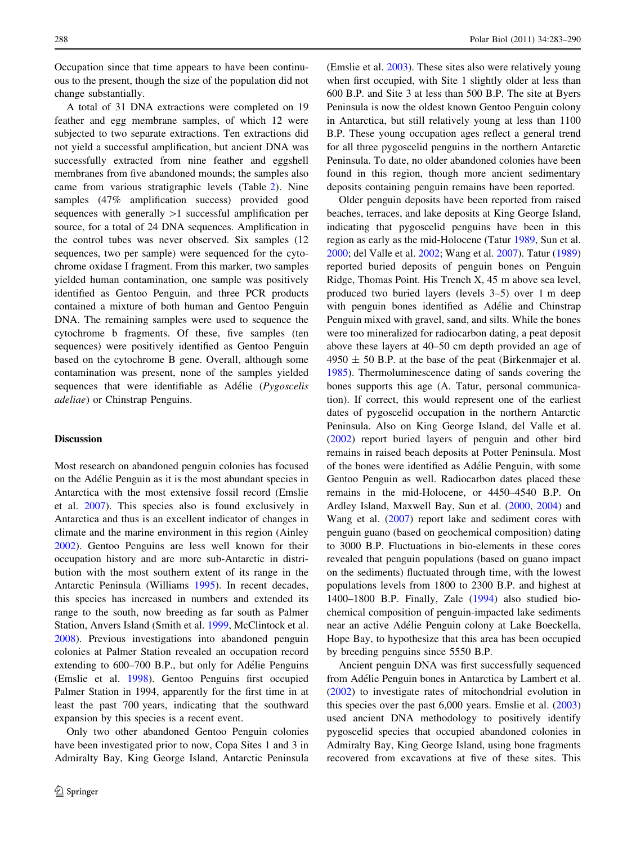Occupation since that time appears to have been continuous to the present, though the size of the population did not change substantially.

A total of 31 DNA extractions were completed on 19 feather and egg membrane samples, of which 12 were subjected to two separate extractions. Ten extractions did not yield a successful amplification, but ancient DNA was successfully extracted from nine feather and eggshell membranes from five abandoned mounds; the samples also came from various stratigraphic levels (Table [2](#page-4-0)). Nine samples (47% amplification success) provided good sequences with generally  $>1$  successful amplification per source, for a total of 24 DNA sequences. Amplification in the control tubes was never observed. Six samples (12 sequences, two per sample) were sequenced for the cytochrome oxidase I fragment. From this marker, two samples yielded human contamination, one sample was positively identified as Gentoo Penguin, and three PCR products contained a mixture of both human and Gentoo Penguin DNA. The remaining samples were used to sequence the cytochrome b fragments. Of these, five samples (ten sequences) were positively identified as Gentoo Penguin based on the cytochrome B gene. Overall, although some contamination was present, none of the samples yielded sequences that were identifiable as Adélie  $(Pygoscelis)$ adeliae) or Chinstrap Penguins.

## **Discussion**

Most research on abandoned penguin colonies has focused on the Adélie Penguin as it is the most abundant species in Antarctica with the most extensive fossil record (Emslie et al. [2007\)](#page-6-0). This species also is found exclusively in Antarctica and thus is an excellent indicator of changes in climate and the marine environment in this region (Ainley [2002\)](#page-6-0). Gentoo Penguins are less well known for their occupation history and are more sub-Antarctic in distribution with the most southern extent of its range in the Antarctic Peninsula (Williams [1995\)](#page-7-0). In recent decades, this species has increased in numbers and extended its range to the south, now breeding as far south as Palmer Station, Anvers Island (Smith et al. [1999](#page-6-0), McClintock et al. [2008\)](#page-6-0). Previous investigations into abandoned penguin colonies at Palmer Station revealed an occupation record extending to  $600-700$  B.P., but only for Adélie Penguins (Emslie et al. [1998](#page-6-0)). Gentoo Penguins first occupied Palmer Station in 1994, apparently for the first time in at least the past 700 years, indicating that the southward expansion by this species is a recent event.

Only two other abandoned Gentoo Penguin colonies have been investigated prior to now, Copa Sites 1 and 3 in Admiralty Bay, King George Island, Antarctic Peninsula (Emslie et al. [2003](#page-6-0)). These sites also were relatively young when first occupied, with Site 1 slightly older at less than 600 B.P. and Site 3 at less than 500 B.P. The site at Byers Peninsula is now the oldest known Gentoo Penguin colony in Antarctica, but still relatively young at less than 1100 B.P. These young occupation ages reflect a general trend for all three pygoscelid penguins in the northern Antarctic Peninsula. To date, no older abandoned colonies have been found in this region, though more ancient sedimentary deposits containing penguin remains have been reported.

Older penguin deposits have been reported from raised beaches, terraces, and lake deposits at King George Island, indicating that pygoscelid penguins have been in this region as early as the mid-Holocene (Tatur [1989](#page-6-0), Sun et al. [2000](#page-6-0); del Valle et al. [2002;](#page-6-0) Wang et al. [2007](#page-7-0)). Tatur ([1989\)](#page-6-0) reported buried deposits of penguin bones on Penguin Ridge, Thomas Point. His Trench X, 45 m above sea level, produced two buried layers (levels 3–5) over 1 m deep with penguin bones identified as Adélie and Chinstrap Penguin mixed with gravel, sand, and silts. While the bones were too mineralized for radiocarbon dating, a peat deposit above these layers at 40–50 cm depth provided an age of  $4950 \pm 50$  B.P. at the base of the peat (Birkenmajer et al. [1985](#page-6-0)). Thermoluminescence dating of sands covering the bones supports this age (A. Tatur, personal communication). If correct, this would represent one of the earliest dates of pygoscelid occupation in the northern Antarctic Peninsula. Also on King George Island, del Valle et al. [\(2002](#page-6-0)) report buried layers of penguin and other bird remains in raised beach deposits at Potter Peninsula. Most of the bones were identified as Adélie Penguin, with some Gentoo Penguin as well. Radiocarbon dates placed these remains in the mid-Holocene, or 4450–4540 B.P. On Ardley Island, Maxwell Bay, Sun et al. ([2000,](#page-6-0) [2004\)](#page-6-0) and Wang et al. ([2007\)](#page-7-0) report lake and sediment cores with penguin guano (based on geochemical composition) dating to 3000 B.P. Fluctuations in bio-elements in these cores revealed that penguin populations (based on guano impact on the sediments) fluctuated through time, with the lowest populations levels from 1800 to 2300 B.P. and highest at 1400–1800 B.P. Finally, Zale ([1994\)](#page-7-0) also studied biochemical composition of penguin-impacted lake sediments near an active Adélie Penguin colony at Lake Boeckella, Hope Bay, to hypothesize that this area has been occupied by breeding penguins since 5550 B.P.

Ancient penguin DNA was first successfully sequenced from Adélie Penguin bones in Antarctica by Lambert et al. [\(2002](#page-6-0)) to investigate rates of mitochondrial evolution in this species over the past 6,000 years. Emslie et al. ([2003\)](#page-6-0) used ancient DNA methodology to positively identify pygoscelid species that occupied abandoned colonies in Admiralty Bay, King George Island, using bone fragments recovered from excavations at five of these sites. This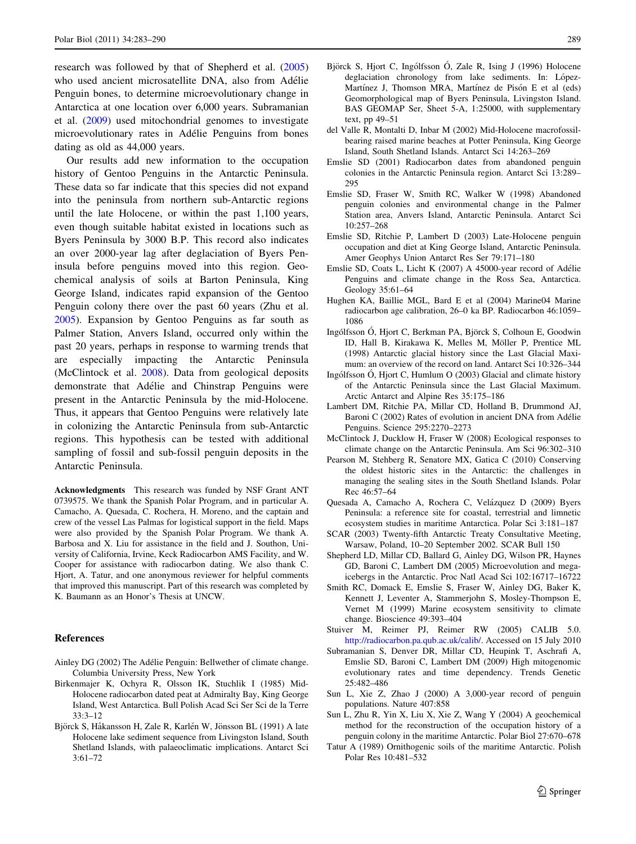<span id="page-6-0"></span>research was followed by that of Shepherd et al. (2005) who used ancient microsatellite DNA, also from Adélie Penguin bones, to determine microevolutionary change in Antarctica at one location over 6,000 years. Subramanian et al. (2009) used mitochondrial genomes to investigate microevolutionary rates in Adélie Penguins from bones dating as old as 44,000 years.

Our results add new information to the occupation history of Gentoo Penguins in the Antarctic Peninsula. These data so far indicate that this species did not expand into the peninsula from northern sub-Antarctic regions until the late Holocene, or within the past 1,100 years, even though suitable habitat existed in locations such as Byers Peninsula by 3000 B.P. This record also indicates an over 2000-year lag after deglaciation of Byers Peninsula before penguins moved into this region. Geochemical analysis of soils at Barton Peninsula, King George Island, indicates rapid expansion of the Gentoo Penguin colony there over the past 60 years (Zhu et al. [2005\)](#page-7-0). Expansion by Gentoo Penguins as far south as Palmer Station, Anvers Island, occurred only within the past 20 years, perhaps in response to warming trends that are especially impacting the Antarctic Peninsula (McClintock et al. 2008). Data from geological deposits demonstrate that Adélie and Chinstrap Penguins were present in the Antarctic Peninsula by the mid-Holocene. Thus, it appears that Gentoo Penguins were relatively late in colonizing the Antarctic Peninsula from sub-Antarctic regions. This hypothesis can be tested with additional sampling of fossil and sub-fossil penguin deposits in the Antarctic Peninsula.

Acknowledgments This research was funded by NSF Grant ANT 0739575. We thank the Spanish Polar Program, and in particular A. Camacho, A. Quesada, C. Rochera, H. Moreno, and the captain and crew of the vessel Las Palmas for logistical support in the field. Maps were also provided by the Spanish Polar Program. We thank A. Barbosa and X. Liu for assistance in the field and J. Southon, University of California, Irvine, Keck Radiocarbon AMS Facility, and W. Cooper for assistance with radiocarbon dating. We also thank C. Hjort, A. Tatur, and one anonymous reviewer for helpful comments that improved this manuscript. Part of this research was completed by K. Baumann as an Honor's Thesis at UNCW.

#### References

- Ainley DG (2002) The Adélie Penguin: Bellwether of climate change. Columbia University Press, New York
- Birkenmajer K, Ochyra R, Olsson IK, Stuchlik I (1985) Mid-Holocene radiocarbon dated peat at Admiralty Bay, King George Island, West Antarctica. Bull Polish Acad Sci Ser Sci de la Terre 33:3–12
- Björck S, Håkansson H, Zale R, Karlén W, Jönsson BL (1991) A late Holocene lake sediment sequence from Livingston Island, South Shetland Islands, with palaeoclimatic implications. Antarct Sci 3:61–72
- Björck S, Hjort C, Ingólfsson Ó, Zale R, Ising J (1996) Holocene deglaciation chronology from lake sediments. In: López-Martínez J, Thomson MRA, Martínez de Pisón E et al (eds) Geomorphological map of Byers Peninsula, Livingston Island. BAS GEOMAP Ser, Sheet 5-A, 1:25000, with supplementary text, pp 49–51
- del Valle R, Montalti D, Inbar M (2002) Mid-Holocene macrofossilbearing raised marine beaches at Potter Peninsula, King George Island, South Shetland Islands. Antarct Sci 14:263–269
- Emslie SD (2001) Radiocarbon dates from abandoned penguin colonies in the Antarctic Peninsula region. Antarct Sci 13:289– 295
- Emslie SD, Fraser W, Smith RC, Walker W (1998) Abandoned penguin colonies and environmental change in the Palmer Station area, Anvers Island, Antarctic Peninsula. Antarct Sci 10:257–268
- Emslie SD, Ritchie P, Lambert D (2003) Late-Holocene penguin occupation and diet at King George Island, Antarctic Peninsula. Amer Geophys Union Antarct Res Ser 79:171–180
- Emslie SD, Coats L, Licht K (2007) A 45000-year record of Adélie Penguins and climate change in the Ross Sea, Antarctica. Geology 35:61–64
- Hughen KA, Baillie MGL, Bard E et al (2004) Marine04 Marine radiocarbon age calibration, 26–0 ka BP. Radiocarbon 46:1059– 1086
- Ingólfsson Ó, Hjort C, Berkman PA, Björck S, Colhoun E, Goodwin ID, Hall B, Kirakawa K, Melles M, Möller P, Prentice ML (1998) Antarctic glacial history since the Last Glacial Maximum: an overview of the record on land. Antarct Sci 10:326–344
- Ingólfsson Ó, Hjort C, Humlum O  $(2003)$  Glacial and climate history of the Antarctic Peninsula since the Last Glacial Maximum. Arctic Antarct and Alpine Res 35:175–186
- Lambert DM, Ritchie PA, Millar CD, Holland B, Drummond AJ, Baroni C (2002) Rates of evolution in ancient DNA from Adélie Penguins. Science 295:2270–2273
- McClintock J, Ducklow H, Fraser W (2008) Ecological responses to climate change on the Antarctic Peninsula. Am Sci 96:302–310
- Pearson M, Stehberg R, Senatore MX, Gatica C (2010) Conserving the oldest historic sites in the Antarctic: the challenges in managing the sealing sites in the South Shetland Islands. Polar Rec 46:57–64
- Quesada A, Camacho A, Rochera C, Velázquez D (2009) Byers Peninsula: a reference site for coastal, terrestrial and limnetic ecosystem studies in maritime Antarctica. Polar Sci 3:181–187
- SCAR (2003) Twenty-fifth Antarctic Treaty Consultative Meeting, Warsaw, Poland, 10–20 September 2002. SCAR Bull 150
- Shepherd LD, Millar CD, Ballard G, Ainley DG, Wilson PR, Haynes GD, Baroni C, Lambert DM (2005) Microevolution and megaicebergs in the Antarctic. Proc Natl Acad Sci 102:16717–16722
- Smith RC, Domack E, Emslie S, Fraser W, Ainley DG, Baker K, Kennett J, Leventer A, Stammerjohn S, Mosley-Thompson E, Vernet M (1999) Marine ecosystem sensitivity to climate change. Bioscience 49:393–404
- Stuiver M, Reimer PJ, Reimer RW (2005) CALIB 5.0. [http://radiocarbon.pa.qub.ac.uk/calib/.](http://radiocarbon.pa.qub.ac.uk/calib/) Accessed on 15 July 2010
- Subramanian S, Denver DR, Millar CD, Heupink T, Aschrafi A, Emslie SD, Baroni C, Lambert DM (2009) High mitogenomic evolutionary rates and time dependency. Trends Genetic 25:482–486
- Sun L, Xie Z, Zhao J (2000) A 3,000-year record of penguin populations. Nature 407:858
- Sun L, Zhu R, Yin X, Liu X, Xie Z, Wang Y (2004) A geochemical method for the reconstruction of the occupation history of a penguin colony in the maritime Antarctic. Polar Biol 27:670–678
- Tatur A (1989) Ornithogenic soils of the maritime Antarctic. Polish Polar Res 10:481–532